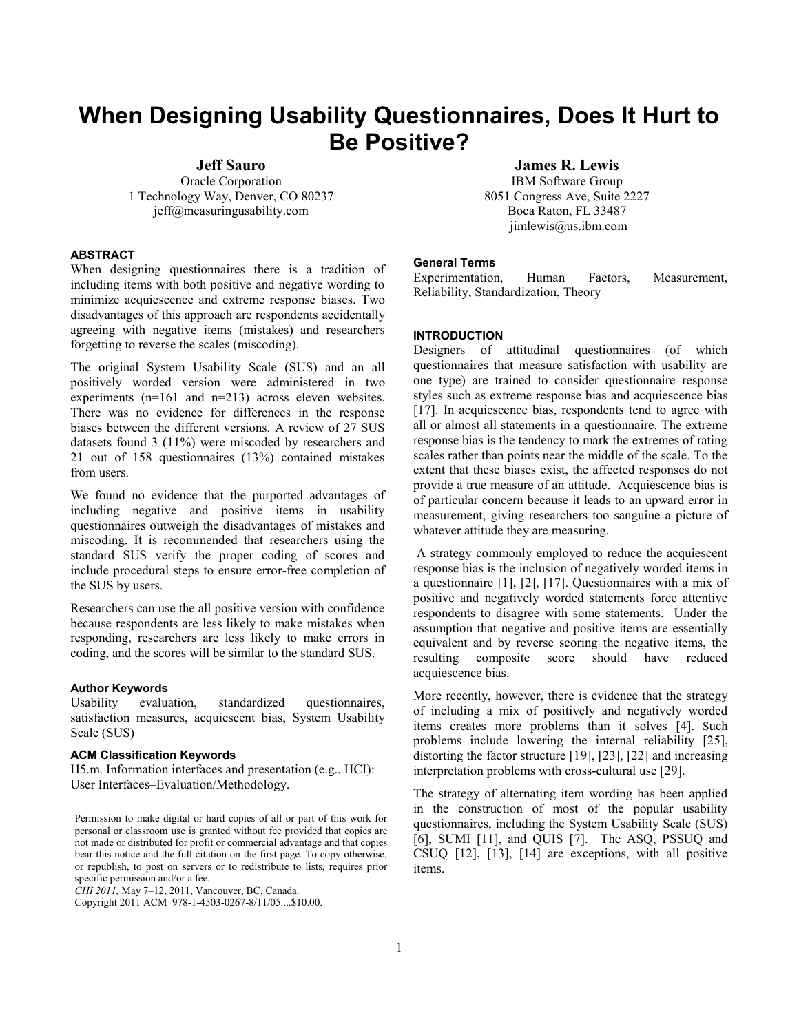# **When Designing Usability Questionnaires, Does It Hurt to Be Positive?**

**Jeff Sauro**

Oracle Corporation 1 Technology Way, Denver, CO 80237 jeff@measuringusability.com

**James R. Lewis** IBM Software Group 8051 Congress Ave, Suite 2227 Boca Raton, FL 33487 jimlewis@us.ibm.com

## **ABSTRACT**

When designing questionnaires there is a tradition of including items with both positive and negative wording to minimize acquiescence and extreme response biases. Two disadvantages of this approach are respondents accidentally agreeing with negative items (mistakes) and researchers forgetting to reverse the scales (miscoding).

The original System Usability Scale (SUS) and an all positively worded version were administered in two experiments (n=161 and n=213) across eleven websites. There was no evidence for differences in the response biases between the different versions. A review of 27 SUS datasets found 3 (11%) were miscoded by researchers and 21 out of 158 questionnaires (13%) contained mistakes from users.

We found no evidence that the purported advantages of including negative and positive items in usability questionnaires outweigh the disadvantages of mistakes and miscoding. It is recommended that researchers using the standard SUS verify the proper coding of scores and include procedural steps to ensure error-free completion of the SUS by users.

Researchers can use the all positive version with confidence because respondents are less likely to make mistakes when responding, researchers are less likely to make errors in coding, and the scores will be similar to the standard SUS.

## **Author Keywords**

Usability evaluation, standardized questionnaires, satisfaction measures, acquiescent bias, System Usability Scale (SUS)

# **ACM Classification Keywords**

H5.m. Information interfaces and presentation (e.g., HCI): User Interfaces–Evaluation/Methodology.

Permission to make digital or hard copies of all or part of this work for personal or classroom use is granted without fee provided that copies are not made or distributed for profit or commercial advantage and that copies bear this notice and the full citation on the first page. To copy otherwise, or republish, to post on servers or to redistribute to lists, requires prior specific permission and/or a fee.

*CHI 2011,* May 7–12, 2011, Vancouver, BC, Canada.

Copyright 2011 ACM 978-1-4503-0267-8/11/05....\$10.00.

#### **General Terms**

Experimentation, Human Factors, Measurement, Reliability, Standardization, Theory

## **INTRODUCTION**

Designers of attitudinal questionnaires (of which questionnaires that measure satisfaction with usability are one type) are trained to consider questionnaire response styles such as extreme response bias and acquiescence bias [17]. In acquiescence bias, respondents tend to agree with all or almost all statements in a questionnaire. The extreme response bias is the tendency to mark the extremes of rating scales rather than points near the middle of the scale. To the extent that these biases exist, the affected responses do not provide a true measure of an attitude. Acquiescence bias is of particular concern because it leads to an upward error in measurement, giving researchers too sanguine a picture of whatever attitude they are measuring.

A strategy commonly employed to reduce the acquiescent response bias is the inclusion of negatively worded items in a questionnaire [1], [2], [17]. Questionnaires with a mix of positive and negatively worded statements force attentive respondents to disagree with some statements. Under the assumption that negative and positive items are essentially equivalent and by reverse scoring the negative items, the resulting composite score should have reduced acquiescence bias.

More recently, however, there is evidence that the strategy of including a mix of positively and negatively worded items creates more problems than it solves [4]. Such problems include lowering the internal reliability [25], distorting the factor structure [19], [23], [22] and increasing interpretation problems with cross-cultural use [29].

The strategy of alternating item wording has been applied in the construction of most of the popular usability questionnaires, including the System Usability Scale (SUS) [6], SUMI [11], and QUIS [7]. The ASQ, PSSUQ and CSUQ [12], [13], [14] are exceptions, with all positive items.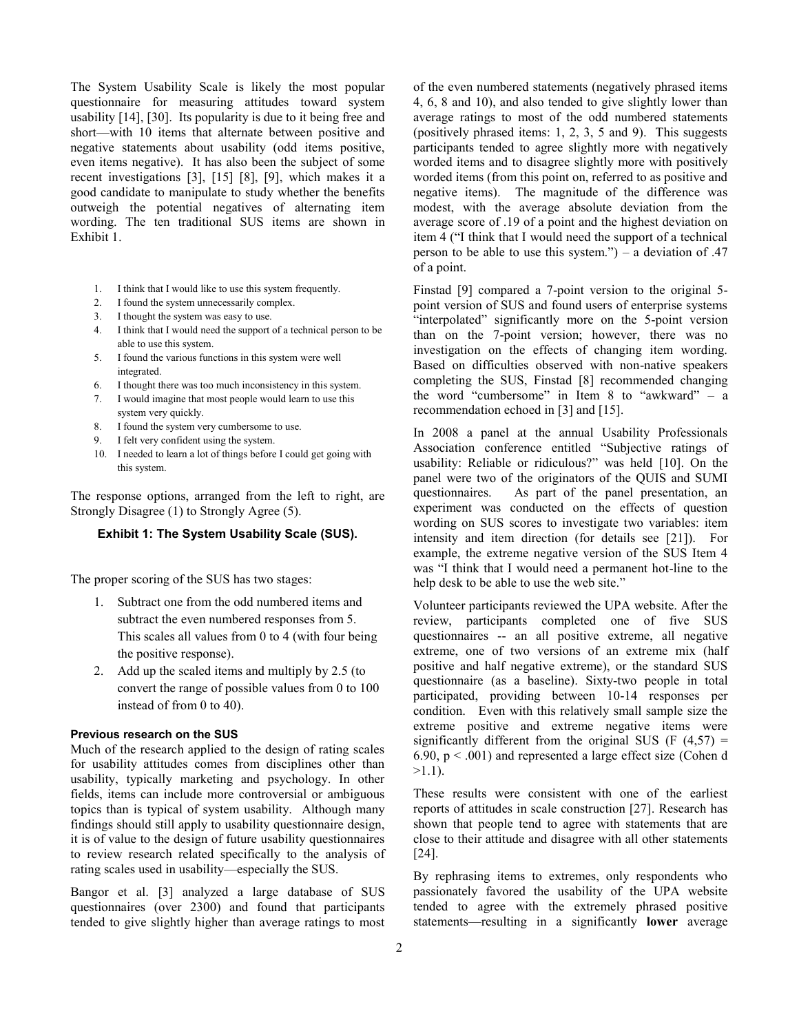The System Usability Scale is likely the most popular questionnaire for measuring attitudes toward system usability [14], [30]. Its popularity is due to it being free and short—with 10 items that alternate between positive and negative statements about usability (odd items positive, even items negative). It has also been the subject of some recent investigations [3], [15] [8], [9], which makes it a good candidate to manipulate to study whether the benefits outweigh the potential negatives of alternating item wording. The ten traditional SUS items are shown in Exhibit 1.

- 1. I think that I would like to use this system frequently.
- 2. I found the system unnecessarily complex.
- 3. I thought the system was easy to use.
- 4. I think that I would need the support of a technical person to be able to use this system.
- 5. I found the various functions in this system were well integrated.
- 6. I thought there was too much inconsistency in this system.
- 7. I would imagine that most people would learn to use this
- system very quickly. 8. I found the system very cumbersome to use.
- I felt very confident using the system.
- 10. I needed to learn a lot of things before I could get going with this system.

The response options, arranged from the left to right, are Strongly Disagree (1) to Strongly Agree (5).

## **Exhibit 1: The System Usability Scale (SUS).**

The proper scoring of the SUS has two stages:

- 1. Subtract one from the odd numbered items and subtract the even numbered responses from 5. This scales all values from 0 to 4 (with four being the positive response).
- 2. Add up the scaled items and multiply by 2.5 (to convert the range of possible values from 0 to 100 instead of from 0 to 40).

## **Previous research on the SUS**

Much of the research applied to the design of rating scales for usability attitudes comes from disciplines other than usability, typically marketing and psychology. In other fields, items can include more controversial or ambiguous topics than is typical of system usability. Although many findings should still apply to usability questionnaire design, it is of value to the design of future usability questionnaires to review research related specifically to the analysis of rating scales used in usability—especially the SUS.

Bangor et al. [3] analyzed a large database of SUS questionnaires (over 2300) and found that participants tended to give slightly higher than average ratings to most of the even numbered statements (negatively phrased items 4, 6, 8 and 10), and also tended to give slightly lower than average ratings to most of the odd numbered statements (positively phrased items: 1, 2, 3, 5 and 9). This suggests participants tended to agree slightly more with negatively worded items and to disagree slightly more with positively worded items (from this point on, referred to as positive and negative items). The magnitude of the difference was modest, with the average absolute deviation from the average score of .19 of a point and the highest deviation on item 4 ("I think that I would need the support of a technical person to be able to use this system.") – a deviation of  $.47$ of a point.

Finstad [9] compared a 7-point version to the original 5 point version of SUS and found users of enterprise systems "interpolated" significantly more on the 5-point version than on the 7-point version; however, there was no investigation on the effects of changing item wording. Based on difficulties observed with non-native speakers completing the SUS, Finstad [8] recommended changing the word "cumbersome" in Item 8 to "awkward" – a recommendation echoed in [3] and [15].

In 2008 a panel at the annual Usability Professionals Association conference entitled "Subjective ratings of usability: Reliable or ridiculous?" was held [10]. On the panel were two of the originators of the QUIS and SUMI questionnaires. As part of the panel presentation, an experiment was conducted on the effects of question wording on SUS scores to investigate two variables: item intensity and item direction (for details see [21]). For example, the extreme negative version of the SUS Item 4 was "I think that I would need a permanent hot-line to the help desk to be able to use the web site."

Volunteer participants reviewed the UPA website. After the review, participants completed one of five SUS questionnaires -- an all positive extreme, all negative extreme, one of two versions of an extreme mix (half positive and half negative extreme), or the standard SUS questionnaire (as a baseline). Sixty-two people in total participated, providing between 10-14 responses per condition. Even with this relatively small sample size the extreme positive and extreme negative items were significantly different from the original SUS (F  $(4.57)$  = 6.90,  $p < .001$ ) and represented a large effect size (Cohen d  $>1.1$ ).

These results were consistent with one of the earliest reports of attitudes in scale construction [27]. Research has shown that people tend to agree with statements that are close to their attitude and disagree with all other statements [24].

By rephrasing items to extremes, only respondents who passionately favored the usability of the UPA website tended to agree with the extremely phrased positive statements—resulting in a significantly **lower** average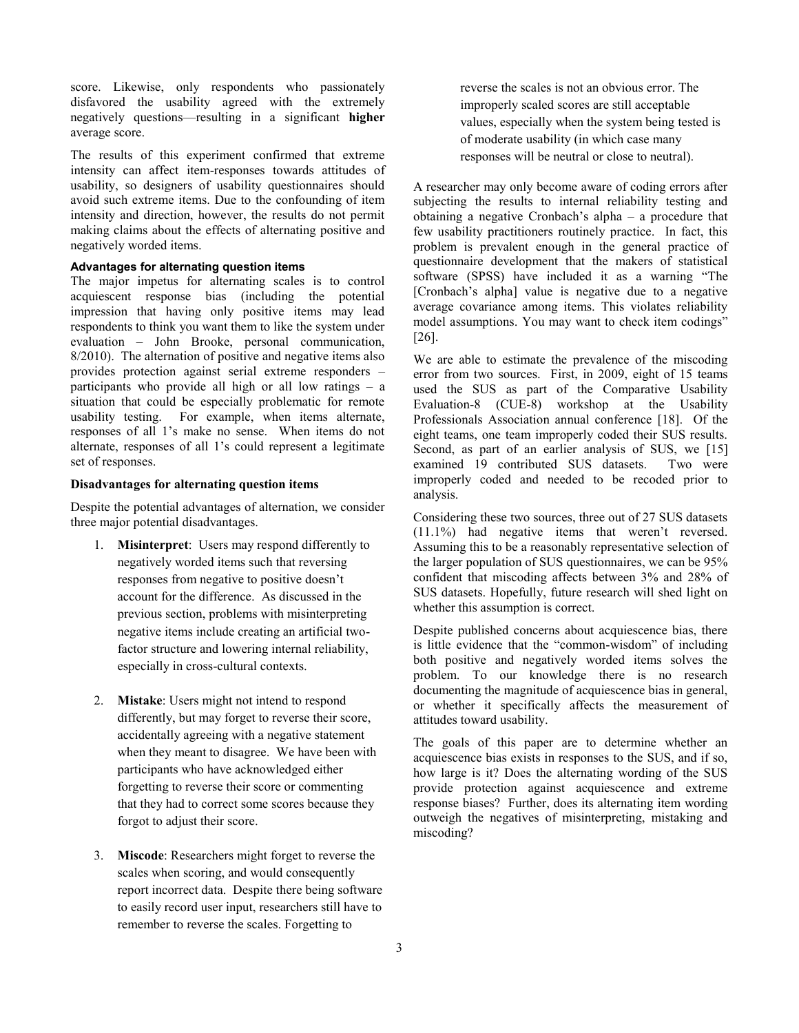score. Likewise, only respondents who passionately disfavored the usability agreed with the extremely negatively questions—resulting in a significant **higher** average score.

The results of this experiment confirmed that extreme intensity can affect item-responses towards attitudes of usability, so designers of usability questionnaires should avoid such extreme items. Due to the confounding of item intensity and direction, however, the results do not permit making claims about the effects of alternating positive and negatively worded items.

# **Advantages for alternating question items**

The major impetus for alternating scales is to control acquiescent response bias (including the potential impression that having only positive items may lead respondents to think you want them to like the system under evaluation – John Brooke, personal communication, 8/2010). The alternation of positive and negative items also provides protection against serial extreme responders – participants who provide all high or all low ratings – a situation that could be especially problematic for remote usability testing. For example, when items alternate, responses of all 1's make no sense. When items do not alternate, responses of all 1's could represent a legitimate set of responses.

## **Disadvantages for alternating question items**

Despite the potential advantages of alternation, we consider three major potential disadvantages.

- 1. **Misinterpret**: Users may respond differently to negatively worded items such that reversing responses from negative to positive doesn't account for the difference. As discussed in the previous section, problems with misinterpreting negative items include creating an artificial twofactor structure and lowering internal reliability, especially in cross-cultural contexts.
- 2. **Mistake**: Users might not intend to respond differently, but may forget to reverse their score, accidentally agreeing with a negative statement when they meant to disagree. We have been with participants who have acknowledged either forgetting to reverse their score or commenting that they had to correct some scores because they forgot to adjust their score.
- 3. **Miscode**: Researchers might forget to reverse the scales when scoring, and would consequently report incorrect data. Despite there being software to easily record user input, researchers still have to remember to reverse the scales. Forgetting to

reverse the scales is not an obvious error. The improperly scaled scores are still acceptable values, especially when the system being tested is of moderate usability (in which case many responses will be neutral or close to neutral).

A researcher may only become aware of coding errors after subjecting the results to internal reliability testing and obtaining a negative Cronbach's alpha – a procedure that few usability practitioners routinely practice. In fact, this problem is prevalent enough in the general practice of questionnaire development that the makers of statistical software (SPSS) have included it as a warning "The [Cronbach's alpha] value is negative due to a negative average covariance among items. This violates reliability model assumptions. You may want to check item codings" [26].

We are able to estimate the prevalence of the miscoding error from two sources. First, in 2009, eight of 15 teams used the SUS as part of the Comparative Usability Evaluation-8 (CUE-8) workshop at the Usability Professionals Association annual conference [18]. Of the eight teams, one team improperly coded their SUS results. Second, as part of an earlier analysis of SUS, we [15] examined 19 contributed SUS datasets. Two were improperly coded and needed to be recoded prior to analysis.

Considering these two sources, three out of 27 SUS datasets (11.1%) had negative items that weren't reversed. Assuming this to be a reasonably representative selection of the larger population of SUS questionnaires, we can be 95% confident that miscoding affects between 3% and 28% of SUS datasets. Hopefully, future research will shed light on whether this assumption is correct.

Despite published concerns about acquiescence bias, there is little evidence that the "common-wisdom" of including both positive and negatively worded items solves the problem. To our knowledge there is no research documenting the magnitude of acquiescence bias in general, or whether it specifically affects the measurement of attitudes toward usability.

The goals of this paper are to determine whether an acquiescence bias exists in responses to the SUS, and if so, how large is it? Does the alternating wording of the SUS provide protection against acquiescence and extreme response biases? Further, does its alternating item wording outweigh the negatives of misinterpreting, mistaking and miscoding?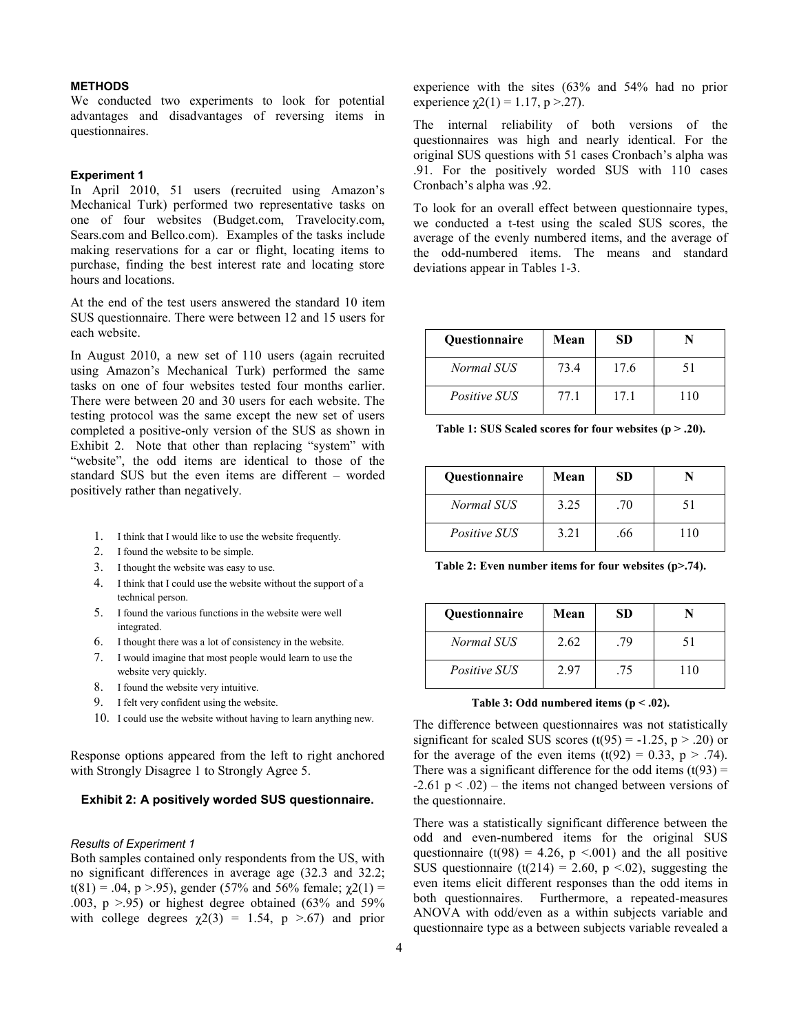## **METHODS**

We conducted two experiments to look for potential advantages and disadvantages of reversing items in questionnaires.

## **Experiment 1**

In April 2010, 51 users (recruited using Amazon's Mechanical Turk) performed two representative tasks on one of four websites (Budget.com, Travelocity.com, Sears.com and Bellco.com). Examples of the tasks include making reservations for a car or flight, locating items to purchase, finding the best interest rate and locating store hours and locations.

At the end of the test users answered the standard 10 item SUS questionnaire. There were between 12 and 15 users for each website.

In August 2010, a new set of 110 users (again recruited using Amazon's Mechanical Turk) performed the same tasks on one of four websites tested four months earlier. There were between 20 and 30 users for each website. The testing protocol was the same except the new set of users completed a positive-only version of the SUS as shown in Exhibit 2. Note that other than replacing "system" with "website", the odd items are identical to those of the standard SUS but the even items are different – worded positively rather than negatively.

- 1. I think that I would like to use the website frequently.
- 2. I found the website to be simple.
- 3. I thought the website was easy to use.
- 4. I think that I could use the website without the support of a technical person.
- 5. I found the various functions in the website were well integrated.
- 6. I thought there was a lot of consistency in the website.
- 7. I would imagine that most people would learn to use the website very quickly.
- 8. I found the website very intuitive.
- 9. I felt very confident using the website.
- 10. I could use the website without having to learn anything new.

Response options appeared from the left to right anchored with Strongly Disagree 1 to Strongly Agree 5.

# **Exhibit 2: A positively worded SUS questionnaire.**

#### *Results of Experiment 1*

Both samples contained only respondents from the US, with no significant differences in average age (32.3 and 32.2; t(81) = .04, p >.95), gender (57% and 56% female;  $\gamma$ 2(1) = .003,  $p > .95$ ) or highest degree obtained (63% and 59%). with college degrees  $\chi$ 2(3) = 1.54, p >.67) and prior experience with the sites (63% and 54% had no prior experience  $\gamma$ 2(1) = 1.17, p > 27).

The internal reliability of both versions of the questionnaires was high and nearly identical. For the original SUS questions with 51 cases Cronbach's alpha was .91. For the positively worded SUS with 110 cases Cronbach's alpha was .92.

To look for an overall effect between questionnaire types, we conducted a t-test using the scaled SUS scores, the average of the evenly numbered items, and the average of the odd-numbered items. The means and standard deviations appear in Tables 1-3.

| <b>Ouestionnaire</b> | Mean | SD   |     |
|----------------------|------|------|-----|
| Normal SUS           | 73.4 | 17.6 |     |
| <i>Positive SUS</i>  | 77 1 | 17.1 | 110 |

**Table 1: SUS Scaled scores for four websites (p > .20).**

| <b>Ouestionnaire</b> | Mean | SD               |    |
|----------------------|------|------------------|----|
| Normal SUS           | 3.25 | .70              | 51 |
| <i>Positive SUS</i>  | 3.21 | .66 <sub>1</sub> |    |

**Table 2: Even number items for four websites (p>.74).**

| <b>Ouestionnaire</b> | Mean | SD. |     |
|----------------------|------|-----|-----|
| Normal SUS           | 2.62 | 79  |     |
| <i>Positive SUS</i>  | 297  | .75 | 110 |

**Table 3: Odd numbered items (p < .02).**

The difference between questionnaires was not statistically significant for scaled SUS scores  $(t(95) = -1.25, p > .20)$  or for the average of the even items  $(t(92) = 0.33, p > .74)$ . There was a significant difference for the odd items  $(t(93) =$  $-2.61$  p  $\leq$  .02) – the items not changed between versions of the questionnaire.

There was a statistically significant difference between the odd and even-numbered items for the original SUS questionnaire (t(98) = 4.26, p <.001) and the all positive SUS questionnaire (t(214) = 2.60, p <.02), suggesting the even items elicit different responses than the odd items in both questionnaires. Furthermore, a repeated-measures ANOVA with odd/even as a within subjects variable and questionnaire type as a between subjects variable revealed a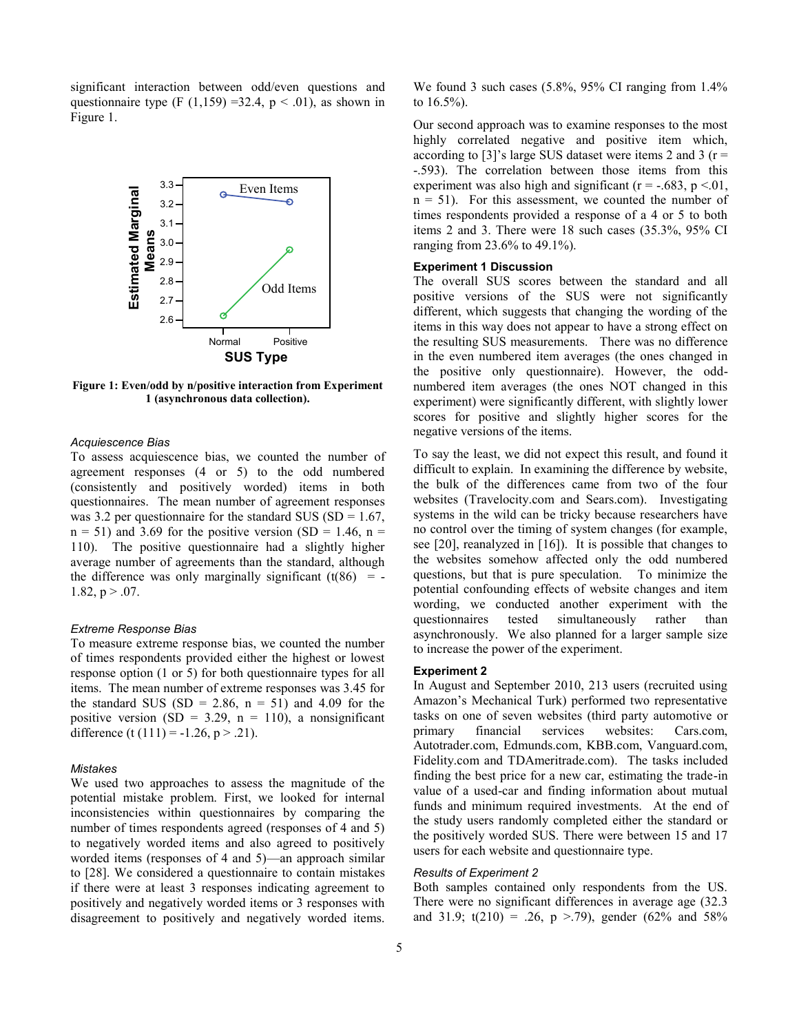significant interaction between odd/even questions and questionnaire type (F  $(1,159) = 32.4$ , p < .01), as shown in Figure 1.



**Figure 1: Even/odd by n/positive interaction from Experiment 1 (asynchronous data collection).**

#### *Acquiescence Bias*

To assess acquiescence bias, we counted the number of agreement responses (4 or 5) to the odd numbered (consistently and positively worded) items in both questionnaires. The mean number of agreement responses was 3.2 per questionnaire for the standard SUS (SD =  $1.67$ ,  $n = 51$ ) and 3.69 for the positive version (SD = 1.46, n = 110). The positive questionnaire had a slightly higher average number of agreements than the standard, although the difference was only marginally significant  $(t(86) = -$ 1.82,  $p > .07$ .

#### *Extreme Response Bias*

To measure extreme response bias, we counted the number of times respondents provided either the highest or lowest response option (1 or 5) for both questionnaire types for all items. The mean number of extreme responses was 3.45 for the standard SUS (SD = 2.86,  $n = 51$ ) and 4.09 for the positive version (SD = 3.29, n = 110), a nonsignificant difference (t  $(111) = -1.26$ , p > .21).

## *Mistakes*

We used two approaches to assess the magnitude of the potential mistake problem. First, we looked for internal inconsistencies within questionnaires by comparing the number of times respondents agreed (responses of 4 and 5) to negatively worded items and also agreed to positively worded items (responses of 4 and 5)—an approach similar to [28]. We considered a questionnaire to contain mistakes if there were at least 3 responses indicating agreement to positively and negatively worded items or 3 responses with disagreement to positively and negatively worded items.

We found 3 such cases (5.8%, 95% CI ranging from 1.4% to 16.5%).

Our second approach was to examine responses to the most highly correlated negative and positive item which, according to [3]'s large SUS dataset were items 2 and 3 ( $r =$ -.593). The correlation between those items from this experiment was also high and significant ( $r = -.683$ ,  $p < .01$ ,  $n = 51$ ). For this assessment, we counted the number of times respondents provided a response of a 4 or 5 to both items 2 and 3. There were 18 such cases (35.3%, 95% CI ranging from 23.6% to 49.1%).

## **Experiment 1 Discussion**

The overall SUS scores between the standard and all positive versions of the SUS were not significantly different, which suggests that changing the wording of the items in this way does not appear to have a strong effect on the resulting SUS measurements. There was no difference in the even numbered item averages (the ones changed in the positive only questionnaire). However, the oddnumbered item averages (the ones NOT changed in this experiment) were significantly different, with slightly lower scores for positive and slightly higher scores for the negative versions of the items.

To say the least, we did not expect this result, and found it difficult to explain. In examining the difference by website, the bulk of the differences came from two of the four websites (Travelocity.com and Sears.com). Investigating systems in the wild can be tricky because researchers have no control over the timing of system changes (for example, see [20], reanalyzed in [16]). It is possible that changes to the websites somehow affected only the odd numbered questions, but that is pure speculation. To minimize the potential confounding effects of website changes and item wording, we conducted another experiment with the questionnaires tested simultaneously rather than asynchronously. We also planned for a larger sample size to increase the power of the experiment.

#### **Experiment 2**

In August and September 2010, 213 users (recruited using Amazon's Mechanical Turk) performed two representative tasks on one of seven websites (third party automotive or primary financial services websites: Cars.com, Autotrader.com, Edmunds.com, KBB.com, Vanguard.com, Fidelity.com and TDAmeritrade.com). The tasks included finding the best price for a new car, estimating the trade-in value of a used-car and finding information about mutual funds and minimum required investments. At the end of the study users randomly completed either the standard or the positively worded SUS. There were between 15 and 17 users for each website and questionnaire type.

## *Results of Experiment 2*

Both samples contained only respondents from the US. There were no significant differences in average age (32.3 and 31.9;  $t(210) = .26$ ,  $p > .79$ ), gender (62% and 58%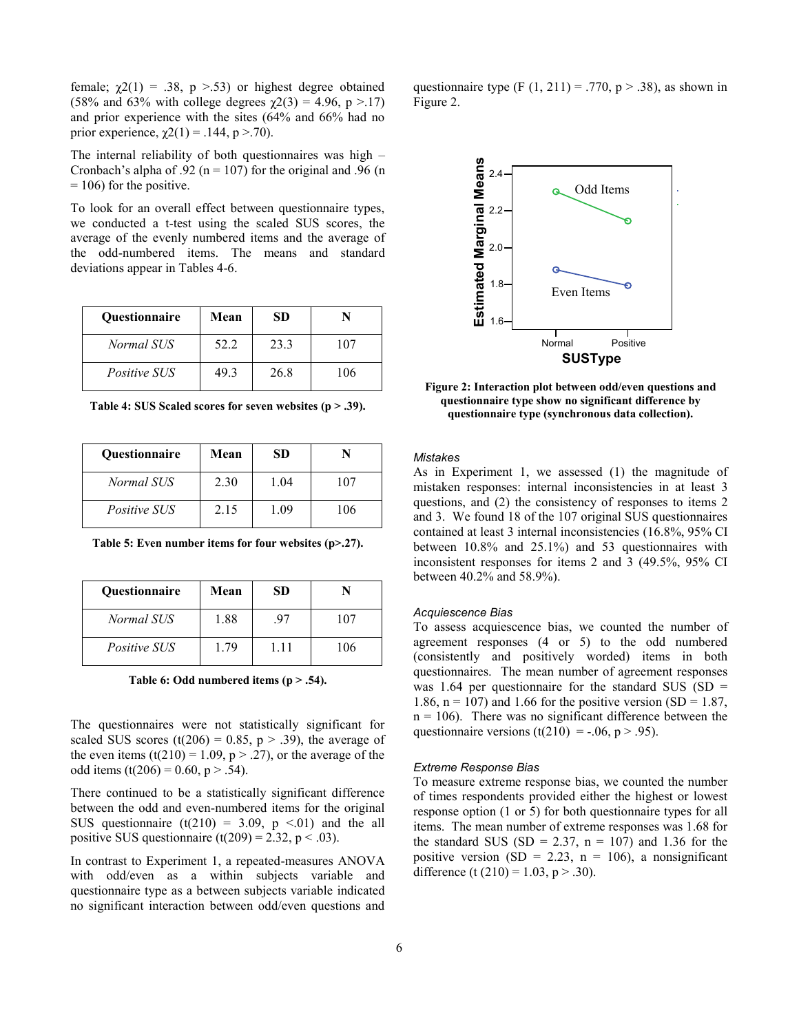female;  $χ2(1) = .38$ ,  $p > .53$ ) or highest degree obtained (58% and 63% with college degrees  $\gamma$ 2(3) = 4.96, p > 17) and prior experience with the sites (64% and 66% had no prior experience,  $\chi$ 2(1) = .144, p > .70).

The internal reliability of both questionnaires was high – Cronbach's alpha of .92 ( $n = 107$ ) for the original and .96 (n  $= 106$ ) for the positive.

To look for an overall effect between questionnaire types, we conducted a t-test using the scaled SUS scores, the average of the evenly numbered items and the average of the odd-numbered items. The means and standard deviations appear in Tables 4-6.

| <b>Ouestionnaire</b> | Mean | SD   |          |
|----------------------|------|------|----------|
| Normal SUS           | 52.2 | 23.3 | $\Omega$ |
| <i>Positive SUS</i>  | 49 3 | 26.8 | 106      |

**Table 4: SUS Scaled scores for seven websites (p > .39).**

| <b>Ouestionnaire</b> | Mean | SD   |     |
|----------------------|------|------|-----|
| Normal SUS           | 2.30 | 1.04 | 107 |
| <i>Positive SUS</i>  | 2.15 | 1.09 | 106 |

| <b>Ouestionnaire</b> | Mean | SD   |     |
|----------------------|------|------|-----|
| Normal SUS           | 1.88 | 97   | 107 |
| <i>Positive SUS</i>  | 179  | 1.11 | 106 |

**Table 6: Odd numbered items (p > .54).**

The questionnaires were not statistically significant for scaled SUS scores (t(206) = 0.85,  $p > .39$ ), the average of the even items  $(t(210) = 1.09, p > .27)$ , or the average of the odd items  $(t(206) = 0.60, p > .54)$ .

There continued to be a statistically significant difference between the odd and even-numbered items for the original SUS questionnaire  $(t(210) = 3.09, p \le 0.01)$  and the all positive SUS questionnaire (t(209) = 2.32, p < .03).

In contrast to Experiment 1, a repeated-measures ANOVA with odd/even as a within subjects variable and questionnaire type as a between subjects variable indicated no significant interaction between odd/even questions and questionnaire type (F  $(1, 211) = .770$ , p > .38), as shown in Figure 2.



**Figure 2: Interaction plot between odd/even questions and questionnaire type show no significant difference by questionnaire type (synchronous data collection).**

## *Mistakes*

As in Experiment 1, we assessed (1) the magnitude of mistaken responses: internal inconsistencies in at least 3 questions, and (2) the consistency of responses to items 2 and 3. We found 18 of the 107 original SUS questionnaires contained at least 3 internal inconsistencies (16.8%, 95% CI between 10.8% and 25.1%) and 53 questionnaires with inconsistent responses for items 2 and 3 (49.5%, 95% CI between 40.2% and 58.9%).

#### *Acquiescence Bias*

To assess acquiescence bias, we counted the number of agreement responses (4 or 5) to the odd numbered (consistently and positively worded) items in both questionnaires. The mean number of agreement responses was 1.64 per questionnaire for the standard SUS (SD  $=$ 1.86,  $n = 107$ ) and 1.66 for the positive version (SD = 1.87,  $n = 106$ . There was no significant difference between the questionnaire versions (t(210) = -.06, p > .95).

## *Extreme Response Bias*

To measure extreme response bias, we counted the number of times respondents provided either the highest or lowest response option (1 or 5) for both questionnaire types for all items. The mean number of extreme responses was 1.68 for the standard SUS (SD = 2.37,  $n = 107$ ) and 1.36 for the positive version (SD = 2.23, n = 106), a nonsignificant difference (t  $(210) = 1.03$ , p > .30).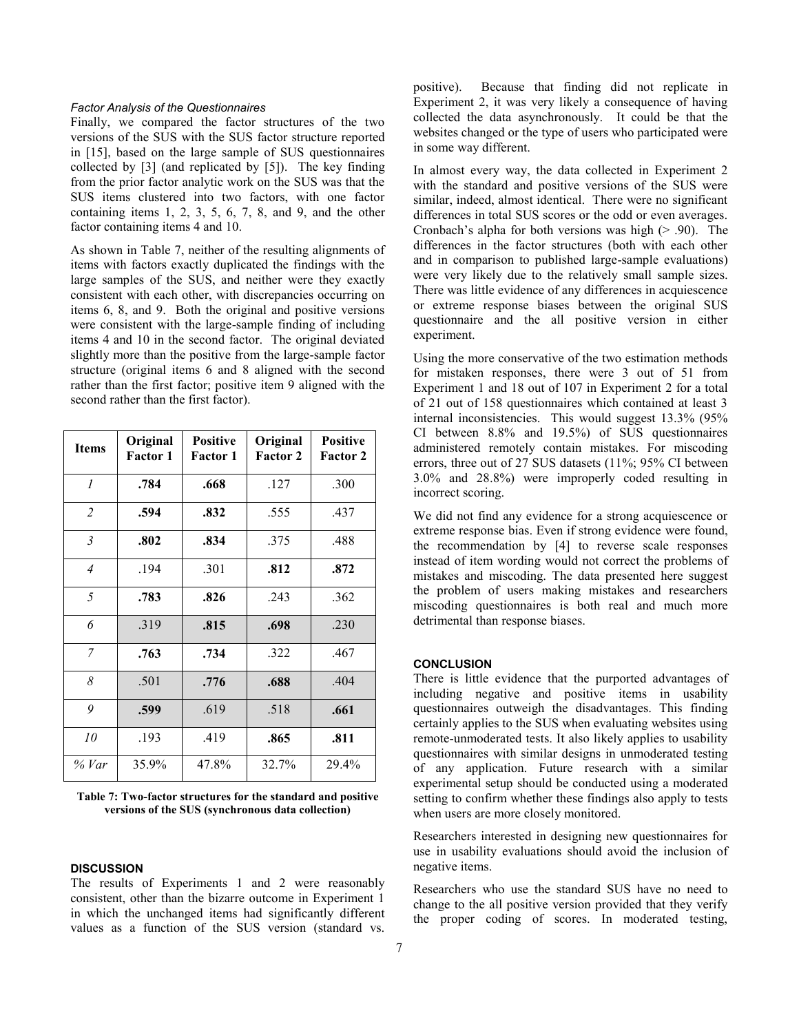## *Factor Analysis of the Questionnaires*

Finally, we compared the factor structures of the two versions of the SUS with the SUS factor structure reported in [15], based on the large sample of SUS questionnaires collected by [3] (and replicated by [5]). The key finding from the prior factor analytic work on the SUS was that the SUS items clustered into two factors, with one factor containing items 1, 2, 3, 5, 6, 7, 8, and 9, and the other factor containing items 4 and 10.

As shown in Table 7, neither of the resulting alignments of items with factors exactly duplicated the findings with the large samples of the SUS, and neither were they exactly consistent with each other, with discrepancies occurring on items 6, 8, and 9. Both the original and positive versions were consistent with the large-sample finding of including items 4 and 10 in the second factor. The original deviated slightly more than the positive from the large-sample factor structure (original items 6 and 8 aligned with the second rather than the first factor; positive item 9 aligned with the second rather than the first factor).

| <b>Items</b>   | Original<br><b>Factor 1</b> | <b>Positive</b><br><b>Factor 1</b> | Original<br><b>Factor 2</b> | <b>Positive</b><br><b>Factor 2</b> |
|----------------|-----------------------------|------------------------------------|-----------------------------|------------------------------------|
| $\mathcal{I}$  | .784                        | .668                               | .127                        | .300                               |
| $\overline{c}$ | .594                        | .832                               | .555                        | .437                               |
| $\mathfrak{Z}$ | .802                        | .834                               | .375                        | .488                               |
| $\overline{4}$ | .194                        | .301                               | .812                        | .872                               |
| 5              | .783                        | .826                               | .243                        | .362                               |
| 6              | .319                        | .815                               | .698                        | .230                               |
| $\overline{7}$ | .763                        | .734                               | .322                        | .467                               |
| 8              | .501                        | .776                               | .688                        | .404                               |
| 9              | .599                        | .619                               | .518                        | .661                               |
| 10             | .193                        | .419                               | .865                        | .811                               |
| % Var          | 35.9%                       | 47.8%                              | 32.7%                       | 29.4%                              |

| Table 7: Two-factor structures for the standard and positive |  |
|--------------------------------------------------------------|--|
| versions of the SUS (synchronous data collection)            |  |

## **DISCUSSION**

The results of Experiments 1 and 2 were reasonably consistent, other than the bizarre outcome in Experiment 1 in which the unchanged items had significantly different values as a function of the SUS version (standard vs.

positive). Because that finding did not replicate in Experiment 2, it was very likely a consequence of having collected the data asynchronously. It could be that the websites changed or the type of users who participated were in some way different.

In almost every way, the data collected in Experiment 2 with the standard and positive versions of the SUS were similar, indeed, almost identical. There were no significant differences in total SUS scores or the odd or even averages. Cronbach's alpha for both versions was high  $(> .90)$ . The differences in the factor structures (both with each other and in comparison to published large-sample evaluations) were very likely due to the relatively small sample sizes. There was little evidence of any differences in acquiescence or extreme response biases between the original SUS questionnaire and the all positive version in either experiment.

Using the more conservative of the two estimation methods for mistaken responses, there were 3 out of 51 from Experiment 1 and 18 out of 107 in Experiment 2 for a total of 21 out of 158 questionnaires which contained at least 3 internal inconsistencies. This would suggest 13.3% (95% CI between 8.8% and 19.5%) of SUS questionnaires administered remotely contain mistakes. For miscoding errors, three out of 27 SUS datasets (11%; 95% CI between 3.0% and 28.8%) were improperly coded resulting in incorrect scoring.

We did not find any evidence for a strong acquiescence or extreme response bias. Even if strong evidence were found, the recommendation by [4] to reverse scale responses instead of item wording would not correct the problems of mistakes and miscoding. The data presented here suggest the problem of users making mistakes and researchers miscoding questionnaires is both real and much more detrimental than response biases.

## **CONCLUSION**

There is little evidence that the purported advantages of including negative and positive items in usability questionnaires outweigh the disadvantages. This finding certainly applies to the SUS when evaluating websites using remote-unmoderated tests. It also likely applies to usability questionnaires with similar designs in unmoderated testing of any application. Future research with a similar experimental setup should be conducted using a moderated setting to confirm whether these findings also apply to tests when users are more closely monitored.

Researchers interested in designing new questionnaires for use in usability evaluations should avoid the inclusion of negative items.

Researchers who use the standard SUS have no need to change to the all positive version provided that they verify the proper coding of scores. In moderated testing,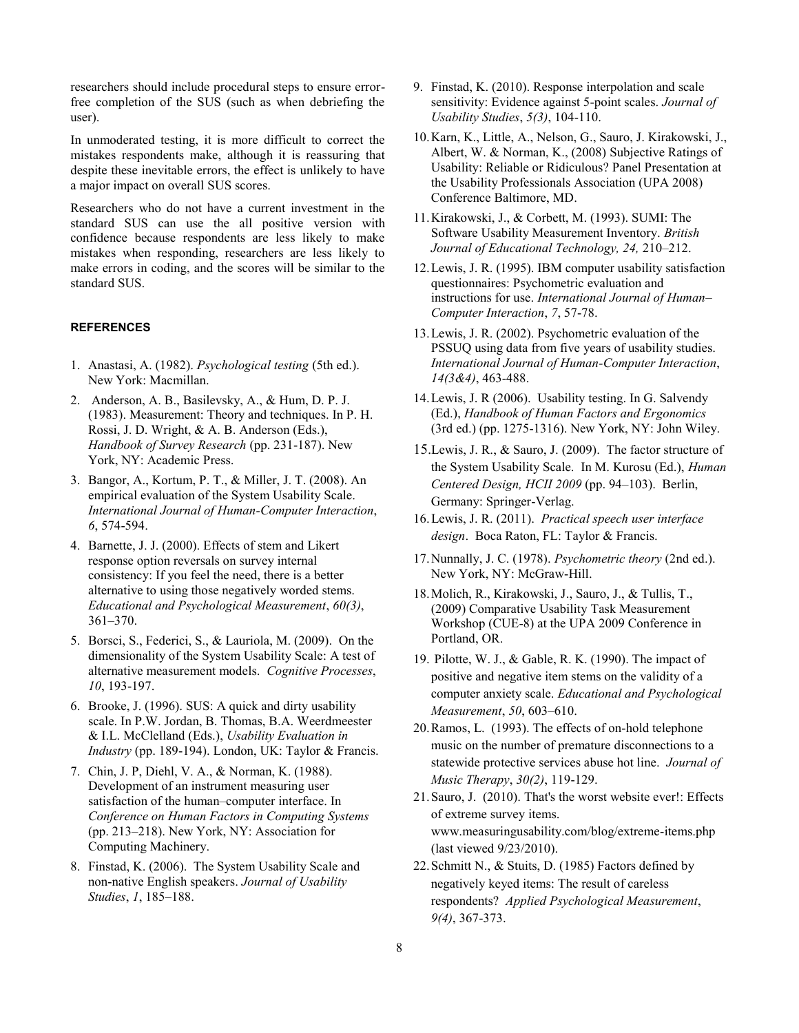researchers should include procedural steps to ensure errorfree completion of the SUS (such as when debriefing the user).

In unmoderated testing, it is more difficult to correct the mistakes respondents make, although it is reassuring that despite these inevitable errors, the effect is unlikely to have a major impact on overall SUS scores.

Researchers who do not have a current investment in the standard SUS can use the all positive version with confidence because respondents are less likely to make mistakes when responding, researchers are less likely to make errors in coding, and the scores will be similar to the standard SUS.

## **REFERENCES**

- 1. Anastasi, A. (1982). *Psychological testing* (5th ed.). New York: Macmillan.
- 2. Anderson, A. B., Basilevsky, A., & Hum, D. P. J. (1983). Measurement: Theory and techniques. In P. H. Rossi, J. D. Wright, & A. B. Anderson (Eds.), *Handbook of Survey Research* (pp. 231-187). New York, NY: Academic Press.
- 3. Bangor, A., Kortum, P. T., & Miller, J. T. (2008). An empirical evaluation of the System Usability Scale. *International Journal of Human-Computer Interaction*, *6*, 574-594.
- 4. Barnette, J. J. (2000). Effects of stem and Likert response option reversals on survey internal consistency: If you feel the need, there is a better alternative to using those negatively worded stems. *Educational and Psychological Measurement*, *60(3)*, 361–370.
- 5. Borsci, S., Federici, S., & Lauriola, M. (2009). On the dimensionality of the System Usability Scale: A test of alternative measurement models. *Cognitive Processes*, *10*, 193-197.
- 6. Brooke, J. (1996). SUS: A quick and dirty usability scale. In P.W. Jordan, B. Thomas, B.A. Weerdmeester & I.L. McClelland (Eds.), *Usability Evaluation in Industry* (pp. 189-194). London, UK: Taylor & Francis.
- 7. Chin, J. P, Diehl, V. A., & Norman, K. (1988). Development of an instrument measuring user satisfaction of the human–computer interface. In *Conference on Human Factors in Computing Systems*  (pp. 213–218). New York, NY: Association for Computing Machinery.
- 8. Finstad, K. (2006). The System Usability Scale and non-native English speakers. *Journal of Usability Studies*, *1*, 185–188.
- 9. Finstad, K. (2010). Response interpolation and scale sensitivity: Evidence against 5-point scales. *Journal of Usability Studies*, *5(3)*, 104-110.
- 10.Karn, K., Little, A., Nelson, G., Sauro, J. Kirakowski, J., Albert, W. & Norman, K., (2008) Subjective Ratings of Usability: Reliable or Ridiculous? Panel Presentation at the Usability Professionals Association (UPA 2008) Conference Baltimore, MD.
- 11.Kirakowski, J., & Corbett, M. (1993). SUMI: The Software Usability Measurement Inventory. *British Journal of Educational Technology, 24,* 210–212.
- 12.Lewis, J. R. (1995). IBM computer usability satisfaction questionnaires: Psychometric evaluation and instructions for use. *International Journal of Human– Computer Interaction*, *7*, 57-78.
- 13.Lewis, J. R. (2002). Psychometric evaluation of the PSSUQ using data from five years of usability studies. *International Journal of Human-Computer Interaction*, *14(3&4)*, 463-488.
- 14.Lewis, J. R (2006). Usability testing. In G. Salvendy (Ed.), *Handbook of Human Factors and Ergonomics* (3rd ed.) (pp. 1275-1316). New York, NY: John Wiley.
- 15.Lewis, J. R., & Sauro, J. (2009). The factor structure of the System Usability Scale. In M. Kurosu (Ed.), *Human Centered Design, HCII 2009* (pp. 94–103). Berlin, Germany: Springer-Verlag.
- 16.Lewis, J. R. (2011). *Practical speech user interface design*. Boca Raton, FL: Taylor & Francis.
- 17.Nunnally, J. C. (1978). *Psychometric theory* (2nd ed.). New York, NY: McGraw-Hill.
- 18.Molich, R., Kirakowski, J., Sauro, J., & Tullis, T., (2009) Comparative Usability Task Measurement Workshop (CUE-8) at the UPA 2009 Conference in Portland, OR.
- 19. Pilotte, W. J., & Gable, R. K. (1990). The impact of positive and negative item stems on the validity of a computer anxiety scale. *Educational and Psychological Measurement*, *50*, 603–610.
- 20.Ramos, L. (1993). The effects of on-hold telephone music on the number of premature disconnections to a statewide protective services abuse hot line. *Journal of Music Therapy*, *30(2)*, 119-129.
- 21.Sauro, J. (2010). That's the worst website ever!: Effects of extreme survey items. www.measuringusability.com/blog/extreme-items.php (last viewed 9/23/2010).
- 22.Schmitt N., & Stuits, D. (1985) Factors defined by negatively keyed items: The result of careless respondents? *Applied Psychological Measurement*, *9(4)*, 367-373.